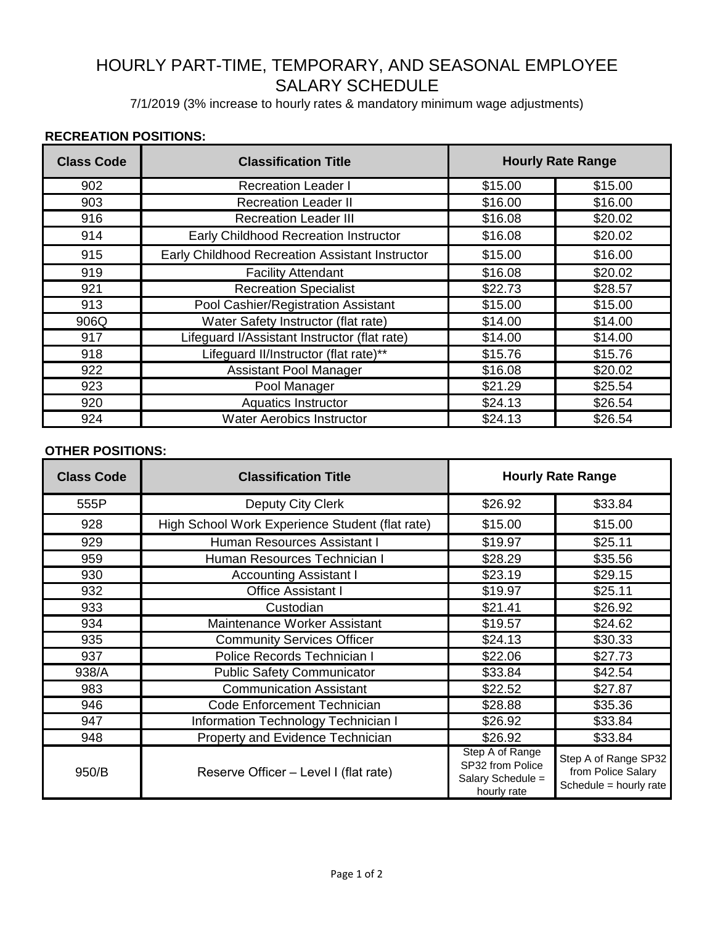## HOURLY PART-TIME, TEMPORARY, AND SEASONAL EMPLOYEE SALARY SCHEDULE

7/1/2019 (3% increase to hourly rates & mandatory minimum wage adjustments)

## **RECREATION POSITIONS:**

| <b>Class Code</b> | <b>Classification Title</b>                     | <b>Hourly Rate Range</b> |         |
|-------------------|-------------------------------------------------|--------------------------|---------|
| 902               | <b>Recreation Leader I</b>                      | \$15.00                  | \$15.00 |
| 903               | <b>Recreation Leader II</b>                     | \$16.00                  | \$16.00 |
| 916               | <b>Recreation Leader III</b>                    | \$16.08                  | \$20.02 |
| 914               | Early Childhood Recreation Instructor           | \$16.08                  | \$20.02 |
| 915               | Early Childhood Recreation Assistant Instructor | \$15.00                  | \$16.00 |
| 919               | <b>Facility Attendant</b>                       | \$16.08                  | \$20.02 |
| 921               | <b>Recreation Specialist</b>                    | \$22.73                  | \$28.57 |
| 913               | Pool Cashier/Registration Assistant             | \$15.00                  | \$15.00 |
| 906Q              | Water Safety Instructor (flat rate)             | \$14.00                  | \$14.00 |
| 917               | Lifeguard I/Assistant Instructor (flat rate)    | \$14.00                  | \$14.00 |
| 918               | Lifeguard II/Instructor (flat rate)**           | \$15.76                  | \$15.76 |
| 922               | Assistant Pool Manager                          | \$16.08                  | \$20.02 |
| 923               | Pool Manager                                    | \$21.29                  | \$25.54 |
| 920               | Aquatics Instructor                             | \$24.13                  | \$26.54 |
| 924               | <b>Water Aerobics Instructor</b>                | \$24.13                  | \$26.54 |

## **OTHER POSITIONS:**

| <b>Class Code</b> | <b>Classification Title</b>                     | <b>Hourly Rate Range</b>                                                |                                                                      |
|-------------------|-------------------------------------------------|-------------------------------------------------------------------------|----------------------------------------------------------------------|
| 555P              | Deputy City Clerk                               | \$26.92                                                                 | \$33.84                                                              |
| 928               | High School Work Experience Student (flat rate) | \$15.00                                                                 | \$15.00                                                              |
| 929               | Human Resources Assistant I                     | \$19.97                                                                 | \$25.11                                                              |
| 959               | Human Resources Technician I                    | \$28.29                                                                 | \$35.56                                                              |
| 930               | <b>Accounting Assistant I</b>                   | \$23.19                                                                 | \$29.15                                                              |
| 932               | <b>Office Assistant I</b>                       | \$19.97                                                                 | \$25.11                                                              |
| 933               | Custodian                                       | \$21.41                                                                 | \$26.92                                                              |
| 934               | Maintenance Worker Assistant                    | \$19.57                                                                 | \$24.62                                                              |
| 935               | <b>Community Services Officer</b>               | \$24.13                                                                 | \$30.33                                                              |
| 937               | Police Records Technician I                     | \$22.06                                                                 | \$27.73                                                              |
| 938/A             | <b>Public Safety Communicator</b>               | \$33.84                                                                 | \$42.54                                                              |
| 983               | <b>Communication Assistant</b>                  | \$22.52                                                                 | \$27.87                                                              |
| 946               | Code Enforcement Technician                     | \$28.88                                                                 | \$35.36                                                              |
| 947               | Information Technology Technician I             | \$26.92                                                                 | \$33.84                                                              |
| 948               | Property and Evidence Technician                | \$26.92                                                                 | \$33.84                                                              |
| 950/B             | Reserve Officer - Level I (flat rate)           | Step A of Range<br>SP32 from Police<br>Salary Schedule =<br>hourly rate | Step A of Range SP32<br>from Police Salary<br>Schedule = hourly rate |